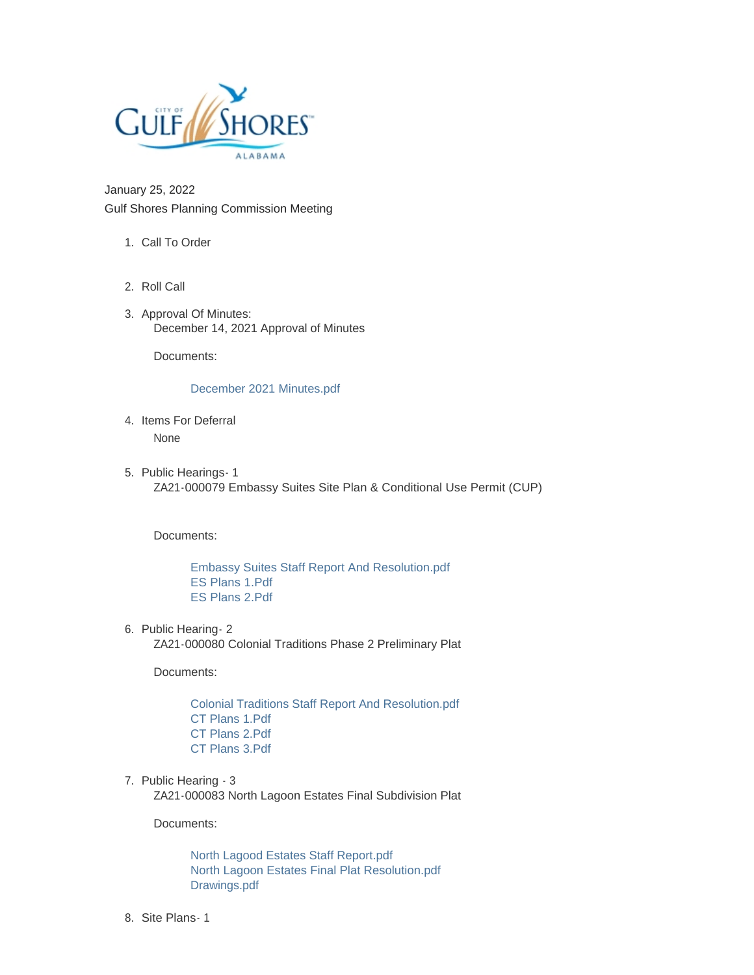

January 25, 2022 Gulf Shores Planning Commission Meeting

- 1. Call To Order
- 2. Roll Call
- 3. Approval Of Minutes: December 14, 2021 Approval of Minutes

Documents:

## [December 2021 Minutes.pdf](https://www.gulfshoresal.gov/AgendaCenter/ViewFile/Item/9699?fileID=20308)

- 4. Items For Deferral None
- 5. Public Hearings 1 ZA21-000079 Embassy Suites Site Plan & Conditional Use Permit (CUP)

Documents:

[Embassy Suites Staff Report And Resolution.pdf](https://www.gulfshoresal.gov/AgendaCenter/ViewFile/Item/9695?fileID=20285) [ES Plans 1.Pdf](https://www.gulfshoresal.gov/AgendaCenter/ViewFile/Item/9695?fileID=20286) [ES Plans 2.Pdf](https://www.gulfshoresal.gov/AgendaCenter/ViewFile/Item/9695?fileID=20287)

6. Public Hearing- 2 ZA21-000080 Colonial Traditions Phase 2 Preliminary Plat

Documents:

[Colonial Traditions Staff Report And Resolution.pdf](https://www.gulfshoresal.gov/AgendaCenter/ViewFile/Item/9700?fileID=20309) [CT Plans 1.Pdf](https://www.gulfshoresal.gov/AgendaCenter/ViewFile/Item/9700?fileID=20310) [CT Plans 2.Pdf](https://www.gulfshoresal.gov/AgendaCenter/ViewFile/Item/9700?fileID=20311) [CT Plans 3.Pdf](https://www.gulfshoresal.gov/AgendaCenter/ViewFile/Item/9700?fileID=20312)

7. Public Hearing - 3

ZA21-000083 North Lagoon Estates Final Subdivision Plat

Documents:

[North Lagood Estates Staff Report.pdf](https://www.gulfshoresal.gov/AgendaCenter/ViewFile/Item/9701?fileID=20313) [North Lagoon Estates Final Plat Resolution.pdf](https://www.gulfshoresal.gov/AgendaCenter/ViewFile/Item/9701?fileID=20314) [Drawings.pdf](https://www.gulfshoresal.gov/AgendaCenter/ViewFile/Item/9701?fileID=20315)

8. Site Plans - 1